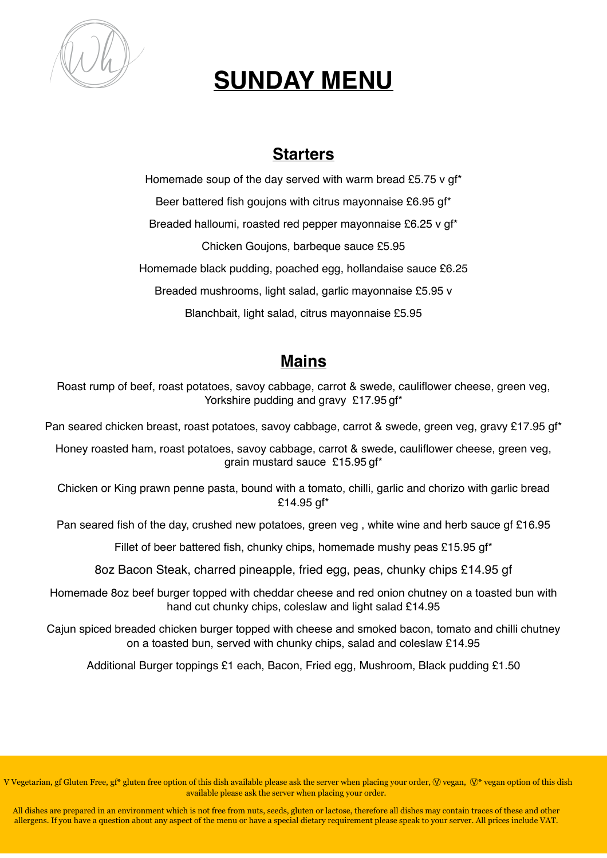

# **SUNDAY MENU**

### **Starters**

Homemade soup of the day served with warm bread £5.75 y qf\* Beer battered fish goujons with citrus mayonnaise £6.95 gf\* Breaded halloumi, roasted red pepper mayonnaise £6.25 v gf\* Chicken Goujons, barbeque sauce £5.95 Homemade black pudding, poached egg, hollandaise sauce £6.25 Breaded mushrooms, light salad, garlic mayonnaise £5.95 v Blanchbait, light salad, citrus mayonnaise £5.95

# **Mains**

Roast rump of beef, roast potatoes, savoy cabbage, carrot & swede, cauliflower cheese, green veg, Yorkshire pudding and gravy £17.95 gf\*

Pan seared chicken breast, roast potatoes, savoy cabbage, carrot & swede, green veg, gravy £17.95 gf\*

Honey roasted ham, roast potatoes, savoy cabbage, carrot & swede, cauliflower cheese, green veg, grain mustard sauce £15.95 gf\*

Chicken or King prawn penne pasta, bound with a tomato, chilli, garlic and chorizo with garlic bread £14.95 gf\*

Pan seared fish of the day, crushed new potatoes, green veg , white wine and herb sauce gf £16.95

Fillet of beer battered fish, chunky chips, homemade mushy peas £15.95 gf\*

8oz Bacon Steak, charred pineapple, fried egg, peas, chunky chips £14.95 gf

Homemade 8oz beef burger topped with cheddar cheese and red onion chutney on a toasted bun with hand cut chunky chips, coleslaw and light salad £14.95

Cajun spiced breaded chicken burger topped with cheese and smoked bacon, tomato and chilli chutney on a toasted bun, served with chunky chips, salad and coleslaw £14.95

Additional Burger toppings £1 each, Bacon, Fried egg, Mushroom, Black pudding £1.50

V Vegetarian, gf Gluten Free, gf\* gluten free option of this dish available please ask the server when placing your order,  $\mathbb Q$  vegan,  $\mathbb Q^*$  vegan option of this dish available please ask the server when placing your order.

All dishes are prepared in an environment which is not free from nuts, seeds, gluten or lactose, therefore all dishes may contain traces of these and other allergens. If you have a question about any aspect of the menu or have a special dietary requirement please speak to your server. All prices include VAT.